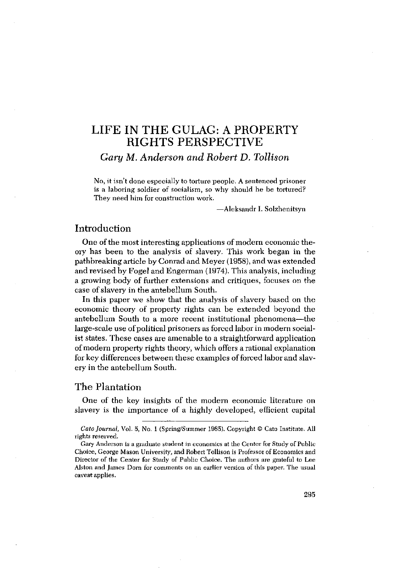# LIFE IN THE GULAG: A PROPERTY RIGHTS PERSPECTIVE

*Gary lvi. Anderson and Robert D. Tollison*

No, it isn't done especially to torture people. A sentenced prisoner is a laboring soldier of socialism, so why should he be tortured? They need him for construction work.

—Aleksandr I. Solzhenitsyn

## Introduction

One of the most interesting applications of modern economic theory has been to the analysis of slavery. This work began in the pathbreaking article by Conrad and Meyer (1958), and was extended and revised by Fogel and Engerman (1974). This analysis, including a growing body of further extensions and critiques, focuses on the case of slavery in the antebellum South.

In this paper we show that the analysis of slavery based on the economic theory of property rights can be extended beyond the antebellum South to a more recent institutional phenomena—the large-scale use of political prisoners as forced labor in modern socialist states. These cases are amenable to a straightforward application of modern property rights theory, which offers a rational explanation for key differences between these examples of forced labor and slavery in the antebellum South.

# The Plantation

One of the key insights of the modern economic literature on slavery is the importance of a highly developed, efficient capital

*Cato Journal,* Vol.5, No, <sup>1</sup> (Spring/Summer 1985). copyright © Cato Institute. All rights reserved.

Gary Anderson is a graduate student in economics at the Centcr for Study of Public Choice, Ceorge Mason University, and Robert Tollisoa is Professor of Economics and Director of the Center for Study of Public Choice. The authors are grateful to Lee Alston and James Dorn for comments on an earlier version of this paper. The usual caveat applies.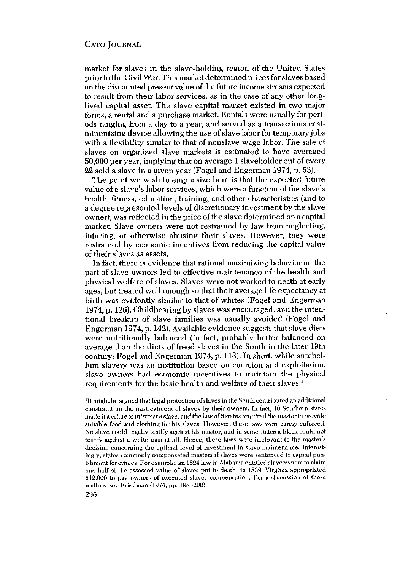market for slaves in the slave-holding region of the United States prior to the Civil War. This market determined prices forslaves based on the discounted present value ofthe future income streams expected to result from their labor services, as in the case of any other longlived capital asset. The slave capital market existed in two major forms, a rental and a purchase market. Rentals were usually for periods ranging from a day to a year, and served as a transactions costminimizing device allowing the use of slave labor for temporary jobs with a flexibility similar to that of nonslave wage labor. The sale of slaves on organized slave markets is estimated to have averaged 50,000 per year, implying that on average <sup>1</sup> slaveholder out of every 22 sold a slave in a given year (Fogel and Engerman 1974, p. 53).

The point we wish to emphasize here is that the expected future value of a slave's labor services, which were a function of the slave's health, fitness, education, training, and other characteristics (and to a degree represented levels of discretionary investment by the slave owner), was reflected in the price ofthe slave determined on a capital market. Slave owners were not restrained by law from neglecting, injuring, or otherwise abusing their slaves. However, they were restrained by economic incentives from reducing the capital value of their slaves as assets.

In fact, there is evidence that rational maximizing behavior on the part of slave owners led to effective maintenance of the health and physical welfare of slaves. Slaves were not worked to death at early ages, but treated well enough so that their average life expectancy at birth was evidently similar to that of whites (Fogel and Engerman 1974, p. 126). Childbearing by slaves was encouraged, and the intentional breakup of slave families was usually avoided (Fogel and Engerman 1974, p. 142). Available evidence suggests that slave diets were nutritionally balanced (in fact, probably better balanced on average than the diets of freed slaves in the South in the later 19th century; Fogel and Engerman 1974, p. 113). In short, while antebellum slavery was an institution based on coercion and exploitation, slave owners had economic incentives to maintain the physical requirements for the basic health and welfare of their slaves.'

'Itmight be argued that legal protection ofslaves in the South contributed an additional constraint on the mistreatment of slaves by their owners. In fact, 10 Southern states made it a crime to mistreat a slave, and the law of 6 states required the master to provide suitable food and clothing for his slaves. However, these laws were rarely enforced. No slave could legally testify against his master, and in some states a black could not testify against a white man at all. Hence, those laws were irrelevant to the master's decision concerning the optimal level of investment in slave maintenance. Interestingly, states commonly compensated masters if slaves were sentenced to capital punishment for crimes. For example, an 1824 law in Alabama entitled slaveowners to claim one-half ofthe assessed value of slaves put to death; in 1839, Virginia appropriated \$12,000 to pay owners of executed slaves compensation. For a discussion of these matters, see Friedman (1974, pp. 198—200).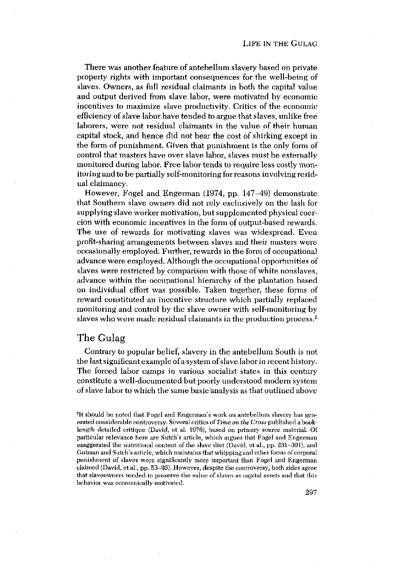There was another feature of antebellum slavery based on private property rights with important consequences for the well-being of slaves. Owners, as full residual claimants in both the capital value and output derived from slave labor, were motivated by economic incentives to maximize slave productivity. Critics of the economic efficiency of slave labor have tended to argue that slaves, unlike free laborers, were not residual claimants in the value of their human capital stock, and hence did not bear the cost of shirking except in the form of punishment. Given that punishment is the only form of control that masters have over slave labor, slaves must be externally monitored during labor. Free labor tends to require less costly monitoring and to be partially self-monitoring for reasons involving residual claimancy.

However, Fogel and Engerman (1974, pp. 147—49) demonstrate that Southern slave owners did not rely exclusively on the lash for supplying slave worker motivation, but supplemented physical coercion with economic incentives in the form of output-based rewards. The use of rewards for motivating slaves was widespread. Even profit-sharing arrangements between slaves and their masters were occasionally employed. Further, rewards in the form of occupationa' advance were employed. Although the occupational opportunities of slaves were restricted by comparison with those of white nonslaves, advance within the occupational hierarchy of the plantation based on individual effort was possible. Taken together, these forms of reward constituted an incentive structure which partially replaced monitoring and control by the slave owner with self-monitoring by slaves who were made residual claimants in the production process.<sup>2</sup>

## The Gulag

Contrary to popular belief, slavery in the antebellum South is not the last significant example ofa systemofslave labor in recent history. The forced labor camps in various socialist states in this century constitute a well-documented but poorly understood modern system of slave labor to which the same basic analysis as that outlined above

<sup>2</sup>It should be noted that Fogel and Engerman's work on antebellum slavery has generated considerable controversy. Several critics of*Time on the Gross* published a booklength detailed critique (David, et al. 1976), based on primary source material. of particular relevance here are Sutch's article, which argues that Fogol and Engerman exaggerated the nutritional content cf the slave diet (David, et al., pp. 231—301), and Gutman and Sutch's article, which maintains that whipping and other forms ofcorporal punishment of slaves were significantly more important than Fogol and Engerman claimed (David, et al., pp. 53—93). However, despite the controversy, both sides agree that slaveowners tended to preserve the value of slaves as capital assets and that this behavior was economically motivated.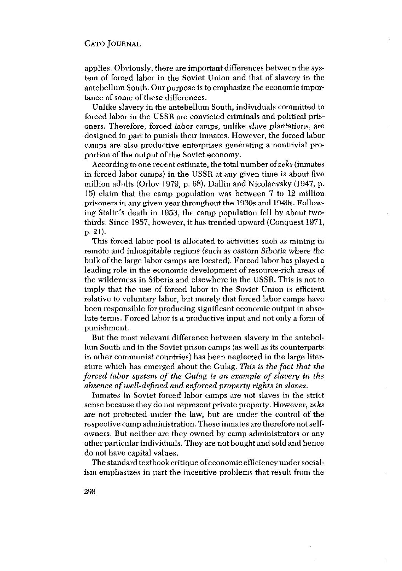applies. Obviously, there are important differences between the system of forced labor in the Soviet Union and that of slavery in the antebellum South. Our purpose is to emphasize the economic importance of some of these differences.

Unlike slavery in the antebellum South, individuals committed to forced labor in the USSR are convicted criminals and political prisoners. Therefore, forced labor camps, unlike slave plantations, are designed in part to punish their inmates. However, the forced labor camps are also productive enterprises generating a nontrivial proportion of the output of the Soviet economy.

According to one recent estimate, the total number of*zeks*(inmates in forced labor camps) in the USSR at any given time is about five million adults (Orlov 1979, p. 68). Dallin and Nicolaevsky (1947, p. 15) claim that the camp population was between 7 to 12 million prisoners in any given year throughout the 1930s and 1940s. Following Stalin's death in 1953, the camp population fell by about twothirds. Since 1957, however, it has trended upward (Conquest 1971, p. 2 l).

This forced labor pool is allocated to activities such as mining in remote and inhospitable regions (such as eastern Siberia where the bulk of the large labor camps are located). Forced labor has played a leading role in the economic development of resource-rich areas of the wilderness in Siberia and elsewhere in the USSR. This is not to imply that the use of forced labor in the Soviet Union is efficient relative to voluntary labor, but merely that forced labor camps have been responsible for producing significant economic output in absolute terms. Forced labor is a productive input and not only a form of punishment.

But the most relevant difference between slavery in the antebellum South and in the Soviet prison camps (as well as its counterparts in other communist countries) has been neglected in the large literature which has emerged about the Gulag. *This is the fact that the forced labor system of the Gulag is an example of slavery In the absence ofwell-defined and enforced property rights in slaves.*

Inmates in Soviet forced labor camps are not slaves in the strict sense because they do notrepresent private property. However, *zeks* are not protected under the law, but are under the control of the respective camp administration. These inmates are therefore notselfowners. But neither are they owned by camp administrators or any other particular individuals.They are not bought and sold and hence do not have capital values.

The standard textbook critique of economic efficiencyunder socialism emphasizes in part the incentive problems that result from the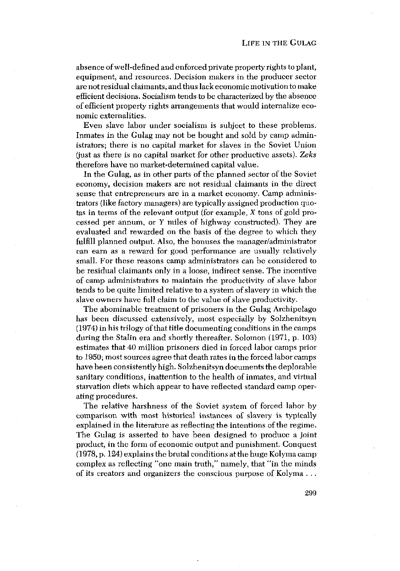absence ofwell-defined and enforced private property rights toplant, equipment, and resources. Decision makers in the producer sector are not residual claimants, and thus lack economic motivation tomake efficient decisions. Socialism tends to be characterized by the absence of efficient property rights arrangements that would internalize economic externalities.

Even slave labor under socialism is subject to these problems. Inmates in the Gulag may not be bought and sold by camp administrators; there is no capital market for slaves in the Soviet Union (just as there is no capital market for other productive assets). Zeks therefore have no market-determined capital value.

In the Gulag, as in other parts of the planned sector of the Soviet economy, decision makers are not residual claimants in the direct sense that entrepreneurs are in a market economy. Camp administrators (like factory managers) are typically assigned production quotas in terms of the relevant output (for example,  $X$  tons of gold processed per annum, or  $Y$  miles of highway constructed). They are evaluated and rewarded on the basis of the degree to which they fulfill planned output. Also, the bonuses the manager/administrator can earn as a reward for good performance are usually relatively small. For these reasons camp administrators can be considered to be residual claimants only in a loose, indirect sense. The incentive of camp administrators to maintain the productivity of slave labor tends to be quite limited relative to a system of slavery in which the slave owners have full claim to the value of slave productivity.

The abominable treatment of prisoners in the Gulag Archipelago has been discussed extensively, most especially by Solzhenitsyn  $(1974)$  in his trilogy of that title documenting conditions in the camps during the Stalin era and shortly thereafter. Solomon (1971, p. 103) estimates that 40 million prisoners died in forced labor camps prior to 1950; mostsources agree that death rates in the forced labor camps have been consistently high. Solzhenitsyn documents the deplorable sanitary conditions, inattention to the health of inmates, and virtual starvation diets which appear to have reflected standard camp operating procedures.

The relative harshness of the Soviet system of forced labor by comparison with most historical instances of slavery is typically explained in the literature as reflecting the intentions of the regime. The Gulag is asserted to have been designed to produce a joint product, in the form of economic output and punishment. Conquest (1978, p. 124) explains the brutal conditions at the huge Kolyma camp complex as reflecting "one main truth," namely, that "in the minds of its creators and organizers the conscious purpose of Kolyma - .

299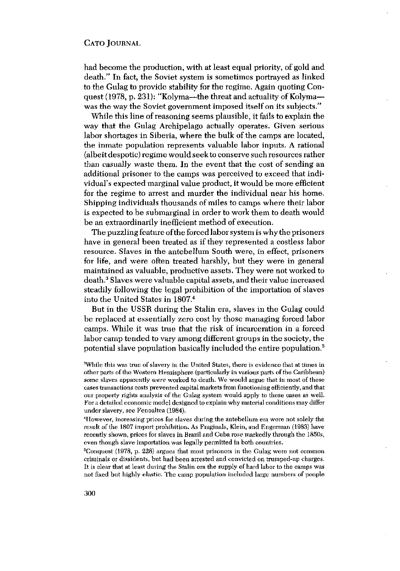had become the production, with at least equal priority, of gold and death." In fact, the Soviet system is sometimes portrayed as linked to the Gulag to provide stability for the regime. Again quoting Conquest (1978, p. 231): "Kolyma—the threat and actuality of Kolyma was the way the Soviet government imposed itself on its subjects."

While this line of reasoning seems plausible, it fails to explain the way that the Gulag Archipelago actually operates. Given serious labor shortages in Siberia, where the bulk of the camps are located, the inmate population represents valuable labor inputs. A rational (albeit despotic) regime would seek to conserve such resources rather than casually waste them. In the event that the cost of sending an additional prisoner to the camps was perceived to exceed that individual's expected marginal value product, it would be more efficient for the regime to arrest and murder the individual near his home. Shipping individuals thousands of miles to camps where their labor is expected to be submarginal in order to work them to death would be an extraordinarily inefficient method of execution.

The puzzling feature ofthe forced labor system iswhy the prisoners have in general been treated as if they represented a costless labor resource. Slaves in the antebellum South were, in effect, prisoners for life, and were often treated harshly, but they were in general maintained as valuable, productive assets. They were not worked to death.3 Slaves were valuable capital assets, and their value increased steadily following the legal prohibition of the importation of slaves into the United States in 1807.<sup>4</sup>

But in the USSR during the Stalin era, slaves in the Gulag could be replaced at essentially zero cost by those managing forced labor camps. While it was true that the risk of incarceration in a forced labor camp tended to vary among different groups in the society, the potential slave population basically included the entire population.5

1Iowever, increasing prices for slaves during the antehellum era were not solely the result of the 1807 import prohibition. As Fraginals, Klein, and Engerman (1983) have recently shown, prices for slaves in Brazil and Cuba rose markedly through the 1850s, even though slave importation was legally permitted in both countries.

 $5$ Conquest (1978, p. 228) argues that most prisoners in the Gulag were not common criminals or dissidents, but had been arrested and convicted on trumped-up charges. It is clear that at least during the Stalin era the supply of hard labor to the camps was not fixed but highly elastic. The camp population included large numbers of people

<sup>&</sup>lt;sup>3</sup>While this was true of slavery in the United States, there is evidence that at times in other parts of the Western Hemisphere (particularly in various parts of the Caribbean) some slaves apparently *were* worked to death. We would argue that in most of these casestransactions costs prevented capital markets from functioning efficiently, and that our property rights analysis of the Gulag system would apply to these cases as well. For a detailed economic model designed to explain why material conditions may differ under slavery, see Fenoaltea (1984). <sup>4</sup>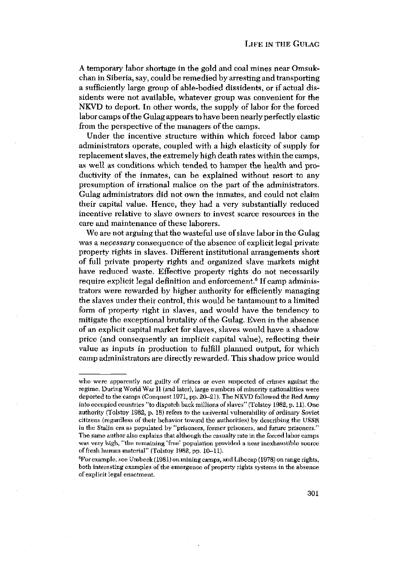A temporary labor shortage in the gold and coal mines near Omsukchan in Siberia,say, could be remedied by arresting and transporting a sufficiently large group of able-bodied dissidents, or if actual dissidents were not available, whatever group was convenient for the NKVD to deport. In other words, the supply of labor for the forced labor camps of the Gulag appears to have been nearly perfectly elastic from the perspective of the managers of the camps.

Under the incentive structure within which forced labor camp administrators operate, coupled with a high elasticity of supply for replacement slaves, the extremely high death rates within the camps, as well as conditions which tended to hamper the health and productivity of the inmates, can be explained without resort to any presumption of irrational malice on the part of the administrators. Gulag administrators did not own the inmates, and could not claim their capital value. Hence, they had a very substantially reduced incentive relative to slave owners to invest scarce resources in the care and maintenance of these laborers.

We are not arguing that the wasteful use of slave labor in the Gulag was a *necessary* consequence of the absence of explicit legal private property rights in slaves. Different institutional arrangements short of full private property rights and organized slave markets might have reduced waste. Effective property rights do not necessarily require explicit legal definition and enforcement.<sup>6</sup> If camp administrators were rewarded by higher authority for efficiently managing the slaves under their control, this would be tantamount to a limited form of property right in slaves, and would have the tendency to mitigate the exceptional brutality of the Gulag. Even in the absence of an explicit capital market for slaves, slaves would have a shadow price (and consequently an implicit capital value), reflecting their value as inputs in production to fulfill planned output, for which camp administrators are directly rewarded. This shadow price would

who were apparently not guilty of crimes or even suspected of crimes against the regime, During World War II (and later), large numbers of minority nationalities were deported to the camps (Conquest 1971, pp. 20—21), The NKVD followed the Red Army into occupied countries 'to dispatch back millions ofslaves" (Tolstoy 1982, p. 11), One authority (Tolstoy 1982, p. 18) refers to the universal vulnerability of ordinary Soviet citizens (regardless oftheir behavior toward the authorities) by describing the USSR in the Stalin era as populated by "prisoners, former prisoners, and future prisoners." The same author also explains that although the casualty rate in the forced labor camps was very high, "the remaining 'free' population provided a near inexhaustible source of fresh human material" (Tolstoy 1982, pp. 10–11).

<sup>°</sup>Forexample, see Umheck (1981) on mining camps, and Lihecap (1978) on range rights, both interesting examples of the emergence of property rights systems in the absence of explicit legal enactment.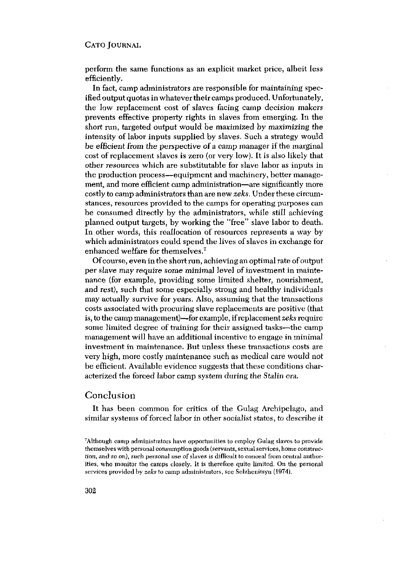perform the same functions as an explicit market price, albeit less efficiently.

In fact, camp administrators are responsible for maintaining specified output quotas in whatever their camps produced. Unfortunately, the low replacement cost of slaves facing camp decision makers prevents effective property rights in slaves from emerging. In the short run, targeted output would be maximized by maximizing the intensity of labor inputs supplied by slaves. Such a strategy would be efficient from the perspective of a camp manager if the marginal cost of replacement slaves is zero (or very low). It is also likely that other resources which are substitutable for slave labor as inputs in the production process—equipment and machinery, better management, and more efficient camp administration—are significantly more costly tocamp administrators than are new*zeks.* Under these circumstances, resources provided to the camps for operating purposes can be consumed directly by the administrators, while still achieving planned output targets, by working the "free" slave labor to death. In other words, this reallocation of resources represents a way by which administrators could spend the lives of slaves in exchange for enhanced welfare for themselves.7

Ofcourse, even in the short run, achievingan optimal rate ofoutput per slave may require some minimal level of investment in maintenance (for example, providing some limited shelter, nourishment, and rest), such that some especially strong and healthy individuals may actually survive for years. Also, assuming that the transactions costs associated with procuring slave replacements are positive (that is, tothe camp management)—for example, ifreplacement*zeks* require some limited degree of training for their assigned tasks—the camp management will have an additional incentive to engage in minimal investment in maintenance. But unless these transactions costs are very high, more costly maintenance such as medical care would not be efficient. Available evidence suggests that these conditions characterized the forced labor camp system during the Stalin era.

### Conclusion

It has been common for critics of the Gulag Archipelago, and similar systems of forced labor in other socialist states, to describe it

<sup>7</sup> Although camp administrators have opportunities to employ Gulag slaves to provide themselves with personal consumption goods (servants, sexualservices, home construction, and so on), such personal use of slaves is difficult to conceal from central authorities, who monitor the camps closely. It is therefore quite limited. On the personal services provided by *zeks* to camp administrators, see Solzhenitsyn (1974).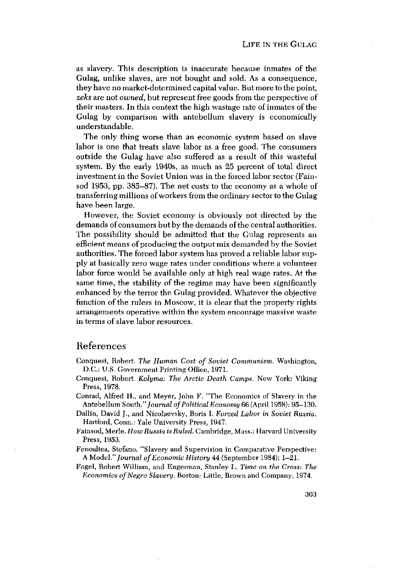as slavery. This description is inaccurate because inmates of the Gulag, unlike slaves, are not bought and sold. As a consequence, they have no market-determined capital value. But more tothe point, *zeks* are not *owned,* but represent free goods from the perspective of their masters. In this context the high wastage rate of inmates of the Gulag by comparison with antebellum slavery is economically understandable.

The only thing worse than an economic system based on slave labor is one that treats slave labor as a free good, The consumers outside the Gulag have also suffered as a result of this wasteful system. By the early 1940s, as much as 25 percent of total direct investment in the Soviet Union was in the forced labor sector (Fainsod 1953, pp. 385—87). The net costs to the economy as a whole of transferring millions of workers from the ordinary sector to the Gulag have been large.

However, the Soviet economy is obviously not directed by the demands of consumers but by the demands of the central authorities. The possibility should be admitted that the Gulag represents an efficient means of producing the output mix demanded by the Soviet authorities. The forced labor system has proved a reliable labor supply at basically zero wage rates under conditions where a volunteer labor force would be available only at high real wage rates. At the same time, the stability of the regime may have been significantly enhanced by the terror the Gulag provided. Whatever the objective function of the rulers in Moscow, it is clear that the property rights arrangements operative within the system encourage massive waste in terms of slave labor resources.

## References

- Conquest, Robert. *The Human Cost of Soviet Communism.* Washington, DC,: U.S. Government Printing Office, 1971.
- Conquest, Robert, *Kolyma: The Arctic Death Camps.* New York: Viking Press, 1978.
- Conrad, Alfred H., and Meyer, John F. "The Economics of Slavery in the Antebellum *South."Journal ofPolitical Economy 66* (April 1958): 95—130.
- Dallin, David J., and Nicolaevsky, Boris I. *Forced Labor in Soviet Russia,* Hartford, Conn,: Yale University Press, 1947.
- Fainsod, Merle. *How Russia is Ruled.* Cambridge, Mass.: Harvard University Press, 1953.
- Fenoaltea, Stefano. "Slavery and Supervision in Comparative Perspective: A Model." *Journal of Economic History* 44 (September 1984): 1–21.
- Fogel, Robert William, and Engerman, Stanley L. *Time on the Cross: The Economics of Negro Slavery.* Boston: Little, Brown and Company, 1974.